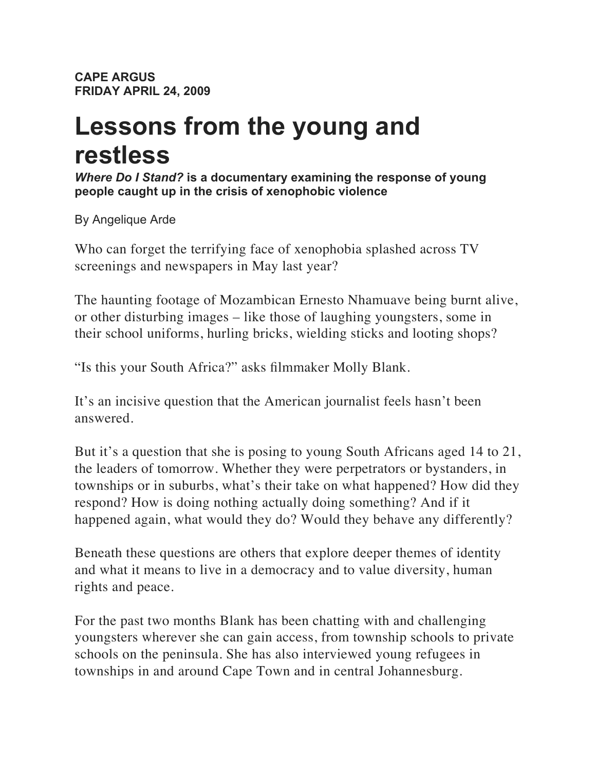**CAPE ARGUS FRIDAY APRIL 24, 2009**

## **Lessons from the young and restless**

*Where Do I Stand?* **is a documentary examining the response of young people caught up in the crisis of xenophobic violence**

By Angelique Arde

Who can forget the terrifying face of xenophobia splashed across TV screenings and newspapers in May last year?

The haunting footage of Mozambican Ernesto Nhamuave being burnt alive, or other disturbing images – like those of laughing youngsters, some in their school uniforms, hurling bricks, wielding sticks and looting shops?

"Is this your South Africa?" asks filmmaker Molly Blank.

It's an incisive question that the American journalist feels hasn't been answered.

But it's a question that she is posing to young South Africans aged 14 to 21, the leaders of tomorrow. Whether they were perpetrators or bystanders, in townships or in suburbs, what's their take on what happened? How did they respond? How is doing nothing actually doing something? And if it happened again, what would they do? Would they behave any differently?

Beneath these questions are others that explore deeper themes of identity and what it means to live in a democracy and to value diversity, human rights and peace.

For the past two months Blank has been chatting with and challenging youngsters wherever she can gain access, from township schools to private schools on the peninsula. She has also interviewed young refugees in townships in and around Cape Town and in central Johannesburg.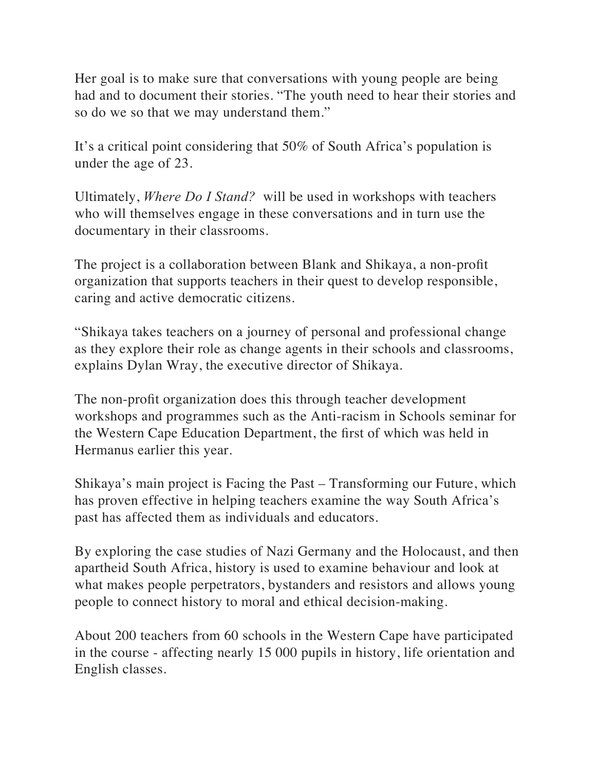Her goal is to make sure that conversations with young people are being had and to document their stories. "The youth need to hear their stories and so do we so that we may understand them."

It's a critical point considering that 50% of South Africa's population is under the age of 23.

Ultimately, *Where Do I Stand?* will be used in workshops with teachers who will themselves engage in these conversations and in turn use the documentary in their classrooms.

The project is a collaboration between Blank and Shikaya, a non-profit organization that supports teachers in their quest to develop responsible, caring and active democratic citizens.

"Shikaya takes teachers on a journey of personal and professional change as they explore their role as change agents in their schools and classrooms, explains Dylan Wray, the executive director of Shikaya.

The non-profit organization does this through teacher development workshops and programmes such as the Anti-racism in Schools seminar for the Western Cape Education Department, the first of which was held in Hermanus earlier this year.

Shikaya's main project is Facing the Past – Transforming our Future, which has proven effective in helping teachers examine the way South Africa's past has affected them as individuals and educators.

By exploring the case studies of Nazi Germany and the Holocaust, and then apartheid South Africa, history is used to examine behaviour and look at what makes people perpetrators, bystanders and resistors and allows young people to connect history to moral and ethical decision-making.

About 200 teachers from 60 schools in the Western Cape have participated in the course - affecting nearly 15 000 pupils in history, life orientation and English classes.